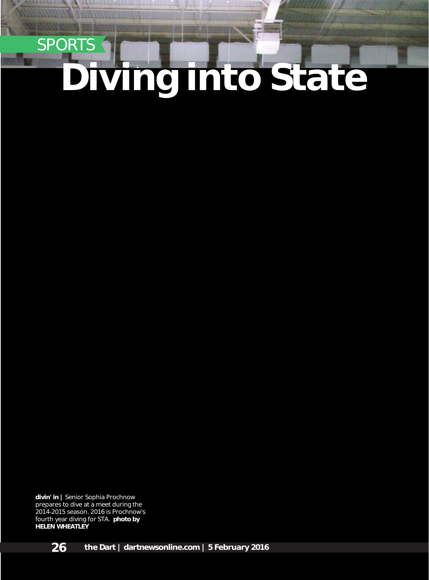